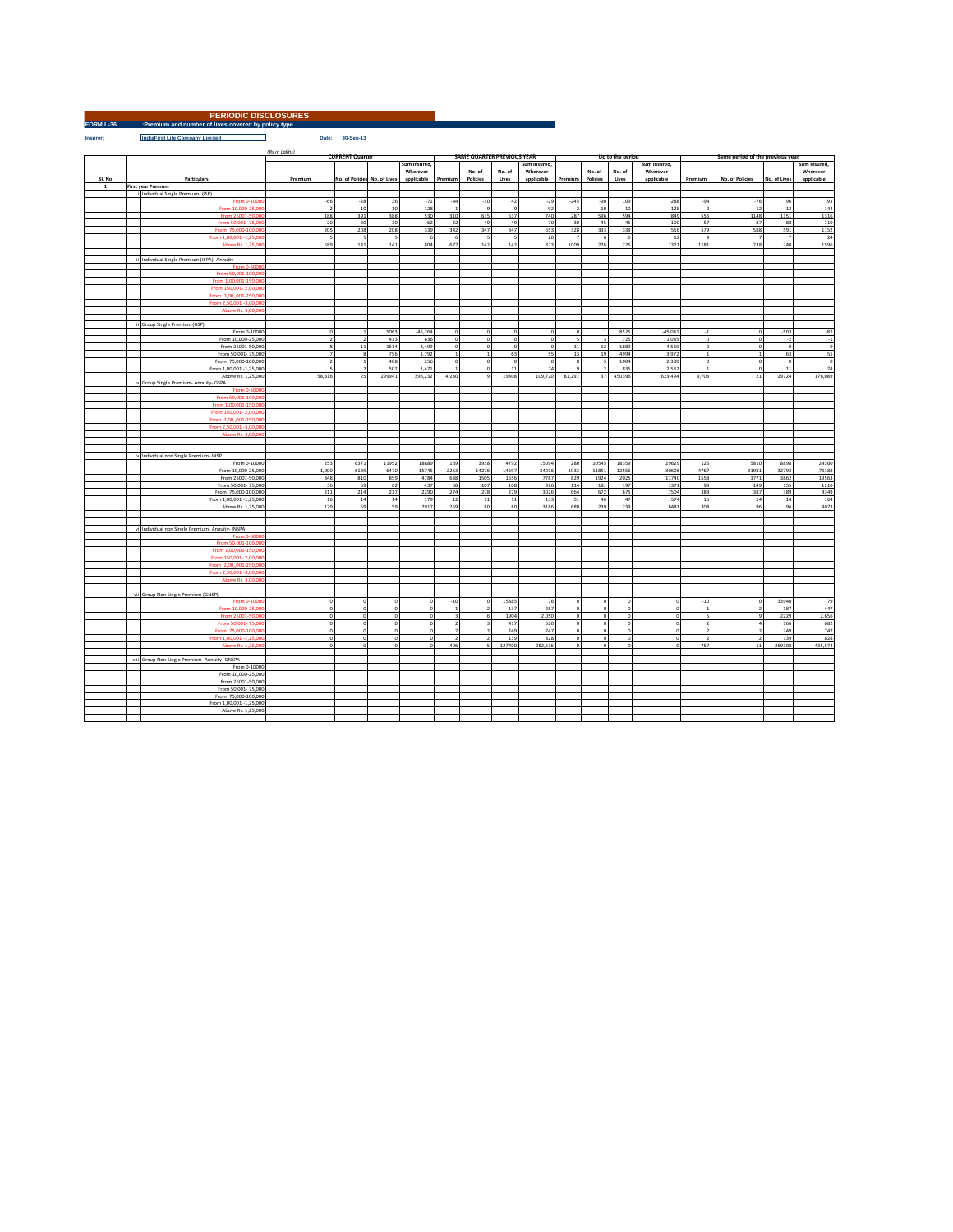| <b>PERIODIC DISCLOSURES</b> |                                                     |  |  |  |  |  |  |  |  |  |
|-----------------------------|-----------------------------------------------------|--|--|--|--|--|--|--|--|--|
| FORM L-36                   | :Premium and number of lives covered by policy type |  |  |  |  |  |  |  |  |  |

**Insurer: IndiaFirst Life Company Limited Date: 30-Sep-13**

|             |                                                  | (Rs in Lakhs)<br><b>CURRENT Quarter</b> |                              |                          |              |                         | <b>SAME QUARTER PREVIOUS YEAR</b> |             |                |                |                         | Up to the period |                | Same period of the previous year |                 |                         |                         |
|-------------|--------------------------------------------------|-----------------------------------------|------------------------------|--------------------------|--------------|-------------------------|-----------------------------------|-------------|----------------|----------------|-------------------------|------------------|----------------|----------------------------------|-----------------|-------------------------|-------------------------|
|             |                                                  |                                         |                              |                          |              |                         |                                   |             |                |                |                         |                  |                |                                  |                 |                         |                         |
|             |                                                  |                                         |                              |                          | Sum Insured, |                         |                                   |             | Sum Insured,   |                |                         |                  | Sum Insured,   |                                  |                 |                         | Sum Insured,            |
|             |                                                  |                                         |                              |                          | Wherever     |                         | No. of                            | No. of      | Wherever       |                | No. of                  | No. of           | Wherever       |                                  |                 |                         | Wherever                |
| SI, No      | Particulars                                      | Premium                                 | No. of Policies No. of Lives |                          | applicable   | Premium                 | Policies                          | Lives       | applicable     | Premium        | Policies                | Lives            | applicable     | Premium                          | No. of Policies | No. of Lives            | applicable              |
| $\mathbf 1$ | <b>First year Premum</b>                         |                                         |                              |                          |              |                         |                                   |             |                |                |                         |                  |                |                                  |                 |                         |                         |
|             | i Individual Single Premium- (ISP)               |                                         |                              |                          |              |                         |                                   |             |                |                |                         |                  |                |                                  |                 |                         |                         |
|             | From 0-1000                                      | $-66$                                   | $-28$                        | 36                       | $-71$        | $-44$                   | $-30$                             | 42          | $-29$          | $-245$         | $-90$                   | 109              | $-288$         | $-94$                            | $-76$           | 96                      | $-93$                   |
|             | From 10,000-25,000                               | $\overline{2}$                          | 10                           | 10                       | 128          | $\,$ 1                  | $_{9}$                            | $\,9$       | 92             | $\overline{2}$ | 10                      | 10               | 128            | $\overline{2}$                   | 12              | 12                      | 144                     |
|             | From 25001-50,00                                 | 188                                     | 391                          | 388                      | 530          | 310                     | 635                               | 637         | 740            | 287            | 596                     | 594              | 849            | 556                              | 1148            | 1151                    | 1316                    |
|             | From 50,001-75,00                                | 20                                      | 30                           | 30                       | 62           | 32                      | 49                                | 49          | 70             | 30             | 45                      | 45               | 100            | 57                               | 87              | 88                      | 110                     |
|             | From 75,000-100,0                                | 205                                     | 208                          | 208                      | 339          | 342                     | 347                               | 347         | 653            | 328            | 333                     | 333              | 556            | 579                              | 588             | 591                     | 1152                    |
|             | From 1,00,001 -1,25,00                           | $\overline{5}$                          | $\sim$                       | $\overline{\phantom{a}}$ | 6            | 6                       | ГS,                               | $\mathsf S$ | 20             | -7             | 6                       |                  | 12             | $\overline{9}$                   | $\overline{z}$  | $\overline{z}$          | 24                      |
|             | Above Rs. 1,25,00                                | 589                                     | 141                          | 141                      | 804          | 677                     | 142                               | 142         | 873            | 1009           | 226                     | 226              | 1371           | 1181                             | 238             | 240                     | 1596                    |
|             |                                                  |                                         |                              |                          |              |                         |                                   |             |                |                |                         |                  |                |                                  |                 |                         |                         |
|             |                                                  |                                         |                              |                          |              |                         |                                   |             |                |                |                         |                  |                |                                  |                 |                         |                         |
|             | ii Individual Single Premium (ISPA)- Annuity     |                                         |                              |                          |              |                         |                                   |             |                |                |                         |                  |                |                                  |                 |                         |                         |
|             | From 0-5000                                      |                                         |                              |                          |              |                         |                                   |             |                |                |                         |                  |                |                                  |                 |                         |                         |
|             | From 50,001-100,00                               |                                         |                              |                          |              |                         |                                   |             |                |                |                         |                  |                |                                  |                 |                         |                         |
|             | From 1,00,001-150,00                             |                                         |                              |                          |              |                         |                                   |             |                |                |                         |                  |                |                                  |                 |                         |                         |
|             | From 150,001-2,00,00                             |                                         |                              |                          |              |                         |                                   |             |                |                |                         |                  |                |                                  |                 |                         |                         |
|             | From 2,00,,001-250,00                            |                                         |                              |                          |              |                         |                                   |             |                |                |                         |                  |                |                                  |                 |                         |                         |
|             | From 2,50,001 -3,00,00                           |                                         |                              |                          |              |                         |                                   |             |                |                |                         |                  |                |                                  |                 |                         |                         |
|             | Above Rs. 3,00,0                                 |                                         |                              |                          |              |                         |                                   |             |                |                |                         |                  |                |                                  |                 |                         |                         |
|             |                                                  |                                         |                              |                          |              |                         |                                   |             |                |                |                         |                  |                |                                  |                 |                         |                         |
|             | iii Group Single Premium (GSP)                   |                                         |                              |                          |              |                         |                                   |             |                |                |                         |                  |                |                                  |                 |                         |                         |
|             |                                                  | $\theta$                                |                              | 5063                     | $-45,264$    |                         | $\Omega$                          | $\Omega$    | $\Omega$       | O              |                         | 8525             | $-45,041$      | $-1$                             | $\theta$        | $-503$                  | $-87$                   |
|             | From 0-10000                                     | $\overline{2}$                          |                              |                          |              |                         |                                   |             |                | τ              |                         |                  |                | $\overline{0}$                   |                 |                         |                         |
|             | From 10,000-25,000                               |                                         | $\overline{ }$               | 413                      | 836          | $\theta$                | $\overline{0}$                    | o           | $\overline{0}$ |                | $\overline{\mathbf{a}}$ | 725              | 1.085          |                                  | $\overline{0}$  | $\cdot$                 | $\overline{1}$          |
|             | From 25001-50,000                                | $\boldsymbol{8}$                        | $11\,$                       | 1514                     | 3,499        | $\Omega$                | $\circ$                           | $\bf{0}$    | $\circ$        | $11\,$         | 12                      | 1889             | 4,530          | $\Omega$                         | $\circ$         | $\Omega$                | $\bf{0}$                |
|             | From 50,001-75,000                               | $\overline{z}$                          | $\bf8$                       | 796                      | 1,792        | $\overline{1}$          | $1\overline{ }$                   | 63          | 55             | 13             | 19                      | 4994             | 3,972          | $\overline{1}$                   | 1               | 63                      | 55                      |
|             | From 75,000-100,000                              | $\overline{2}$                          | $\,$ 1 $\,$                  | 408                      | 256          | $\,$ 0                  | $\,$ 0                            | $\,$ 0      | $\circ$        | $\,$ 8         | $\leq$                  | 1004             | 2,380          | $\,$ 0                           | $\circ$         | $\overline{\mathbf{0}}$ | $\overline{\mathbf{0}}$ |
|             | From 1,00,001 -1,25,000                          | 5                                       | $\overline{2}$               | 502                      | 1,471        | $\overline{1}$          | $\overline{0}$                    | $11\,$      | 74             | <b>q</b>       | 2                       | 835              | 2,532          | $\overline{1}$                   | $^{\circ}$      | 11                      | 74                      |
|             | Above Rs. 1,25,000                               | 58,816                                  | 25                           | 299941                   | 396,232      | 4,230                   |                                   | 19308       | 109,720        | 81,291         | 37                      | 450396           | 623,494        | 9,703                            | 21              | 29724                   | 176,089                 |
|             | iv Group Single Premium- Annuity- GSPA           |                                         |                              |                          |              |                         |                                   |             |                |                |                         |                  |                |                                  |                 |                         |                         |
|             | From 0-5000                                      |                                         |                              |                          |              |                         |                                   |             |                |                |                         |                  |                |                                  |                 |                         |                         |
|             | From 50,001-100,00                               |                                         |                              |                          |              |                         |                                   |             |                |                |                         |                  |                |                                  |                 |                         |                         |
|             | From 1,00,001-150,000                            |                                         |                              |                          |              |                         |                                   |             |                |                |                         |                  |                |                                  |                 |                         |                         |
|             | From 150,001-2,00,000                            |                                         |                              |                          |              |                         |                                   |             |                |                |                         |                  |                |                                  |                 |                         |                         |
|             | From 2.00001-250.00                              |                                         |                              |                          |              |                         |                                   |             |                |                |                         |                  |                |                                  |                 |                         |                         |
|             |                                                  |                                         |                              |                          |              |                         |                                   |             |                |                |                         |                  |                |                                  |                 |                         |                         |
|             | From 2,50,001 -3,00,00                           |                                         |                              |                          |              |                         |                                   |             |                |                |                         |                  |                |                                  |                 |                         |                         |
|             | Above Rs. 3,00,00                                |                                         |                              |                          |              |                         |                                   |             |                |                |                         |                  |                |                                  |                 |                         |                         |
|             |                                                  |                                         |                              |                          |              |                         |                                   |             |                |                |                         |                  |                |                                  |                 |                         |                         |
|             |                                                  |                                         |                              |                          |              |                         |                                   |             |                |                |                         |                  |                |                                  |                 |                         |                         |
|             | v Individual non Single Premium- INSP            |                                         |                              |                          |              |                         |                                   |             |                |                |                         |                  |                |                                  |                 |                         |                         |
|             | From 0-10000                                     | 253                                     | 6371                         | 11952                    | 18889        | 169                     | 3938                              | 4792        | 15094          | 280            | 10545                   | 18359            | 29629          | 125                              | 5810            | 8898                    | 24360                   |
|             | From 10,000-25,000                               | 1,000                                   | 6129                         | 6470                     | 15745        | 2253                    | 14276                             | 14697       | 34016          | 1933           | 11851                   | 12556            | 30608          | 4767                             | 31981           | 32792                   | 73188                   |
|             | From 25001-50,000                                | 348                                     | 810                          | 859                      | 4784         | 638                     | 1505                              | 1556        | 7787           | 829            | 1924                    | 2025             | 11740          | 1558                             | 3771            | 3862                    | 19563                   |
|             | From 50,001-75,000                               | 36                                      | 59                           | 62                       | 437          | 68                      | 107                               | 108         | 926            | 114            | 181                     | 197              | 1371           | 93                               | 149             | 155                     | 1210                    |
|             | From 75,000-100,000                              | 211                                     | 214                          | 217                      | 2290         | 274                     | 278                               | 279         | 3026           | 664            | 672                     | 675              | 7504           | 383                              | 387             | 389                     | 4349                    |
|             | From 1.00.001 -1.25.000                          | 16                                      | 14                           | 14                       | 179          | 12                      | 11                                | 11          | 133            | 51             | 46                      | 47               | 574            | 15                               | 14              | 14                      | 164                     |
|             | Above Rs. 1,25,000                               | 179                                     | 59                           | 59                       | 2917         | 259                     | 80                                | 80          | 3186           | 680            | 239                     | 239              | 8481           | 308                              | 96              | 96                      | 4073                    |
|             |                                                  |                                         |                              |                          |              |                         |                                   |             |                |                |                         |                  |                |                                  |                 |                         |                         |
|             |                                                  |                                         |                              |                          |              |                         |                                   |             |                |                |                         |                  |                |                                  |                 |                         |                         |
|             |                                                  |                                         |                              |                          |              |                         |                                   |             |                |                |                         |                  |                |                                  |                 |                         |                         |
|             | vi Individual non Single Premium- Annuity- INSPA |                                         |                              |                          |              |                         |                                   |             |                |                |                         |                  |                |                                  |                 |                         |                         |
|             | From 0-5000                                      |                                         |                              |                          |              |                         |                                   |             |                |                |                         |                  |                |                                  |                 |                         |                         |
|             | From 50,001-100,00                               |                                         |                              |                          |              |                         |                                   |             |                |                |                         |                  |                |                                  |                 |                         |                         |
|             | From 1,00,001-150,00                             |                                         |                              |                          |              |                         |                                   |             |                |                |                         |                  |                |                                  |                 |                         |                         |
|             | From 150,001-2,00,000                            |                                         |                              |                          |              |                         |                                   |             |                |                |                         |                  |                |                                  |                 |                         |                         |
|             | From 2.00001-250.000                             |                                         |                              |                          |              |                         |                                   |             |                |                |                         |                  |                |                                  |                 |                         |                         |
|             | From 2.50.001-3.00.00                            |                                         |                              |                          |              |                         |                                   |             |                |                |                         |                  |                |                                  |                 |                         |                         |
|             | Above Rs. 3,00,00                                |                                         |                              |                          |              |                         |                                   |             |                |                |                         |                  |                |                                  |                 |                         |                         |
|             |                                                  |                                         |                              |                          |              |                         |                                   |             |                |                |                         |                  |                |                                  |                 |                         |                         |
|             | vii Group Non Single Premium (GNSP)              |                                         |                              |                          |              |                         |                                   |             |                |                |                         |                  |                |                                  |                 |                         |                         |
|             | From 0-1000                                      | $\,$ 0                                  | $\overline{0}$               | $\circ$                  | $\Omega$     | $-10$                   | $\overline{0}$                    | 15885       | 76             |                | n                       |                  | $\circ$        | $-10$                            | $\circ$         | 33940                   | 79                      |
|             |                                                  |                                         |                              |                          |              |                         |                                   | 137         | 287            |                |                         |                  |                |                                  |                 | 187                     | 447                     |
|             | From 10,000-25,00                                | $\Omega$                                | $\,$ 0                       | $\,$ 0                   | $\Omega$     | 1                       | $\overline{ }$                    |             |                | $\Omega$       | $\Omega$                |                  | $\overline{0}$ | 1                                | $\overline{2}$  |                         |                         |
|             | From 25001-50,000                                | $\circ$                                 | $\circ$                      | $\,$ 0                   | $\Omega$     | $\overline{\mathbf{3}}$ | -6                                | 1904        | 2.050          | $\Omega$       | $\Omega$                |                  | $\,$ 0         | $\overline{\phantom{a}}$         | $\alpha$        | 2229                    | 2,656                   |
|             | From 50,001-75,00                                | o                                       | o                            | $\overline{0}$           |              | $\overline{2}$          |                                   | 417         | 520            |                | $\mathbf{0}$            |                  | $\circ$        | $\overline{2}$                   | $\ddot{a}$      | 766                     | 682                     |
|             | From 75,000-100,00                               | $\,$ 0 $\,$                             | $\,$ 0                       | $\,$ 0 $\,$              | $\circ$      | $\overline{2}$          | $\overline{z}$                    | 249         | 747            | $\circ$        | $\mathbf{0}$            |                  | $\circ$        | $\overline{2}$                   | $\overline{2}$  | 249                     | 747                     |
|             | From 1,00,001 -1,25,00                           | $\Omega$                                | $\overline{0}$               | $\overline{0}$           | $\Omega$     | $\overline{2}$          | $\overline{ }$                    | 139         | 828            | $\sim$         | $\overline{0}$          |                  | $\Omega$       | $\overline{2}$                   | $\rightarrow$   | 139                     | 828                     |
|             | Ahova Rc 1.25.00                                 | $\sim$                                  | $\sqrt{2}$                   |                          |              | 406                     |                                   | 127400      | 282.516        |                |                         |                  |                | 757                              | 11              | 269308                  | 435,574                 |
|             |                                                  |                                         |                              |                          |              |                         |                                   |             |                |                |                         |                  |                |                                  |                 |                         |                         |
|             | viii Group Non Single Premium- Annuity- GNSPA    |                                         |                              |                          |              |                         |                                   |             |                |                |                         |                  |                |                                  |                 |                         |                         |
|             | From 0-10000                                     |                                         |                              |                          |              |                         |                                   |             |                |                |                         |                  |                |                                  |                 |                         |                         |
|             | From 10,000-25,000                               |                                         |                              |                          |              |                         |                                   |             |                |                |                         |                  |                |                                  |                 |                         |                         |
|             | From 25001-50,000                                |                                         |                              |                          |              |                         |                                   |             |                |                |                         |                  |                |                                  |                 |                         |                         |
|             |                                                  |                                         |                              |                          |              |                         |                                   |             |                |                |                         |                  |                |                                  |                 |                         |                         |
|             | From 50,001-75,000                               |                                         |                              |                          |              |                         |                                   |             |                |                |                         |                  |                |                                  |                 |                         |                         |
|             | From 75,000-100,000                              |                                         |                              |                          |              |                         |                                   |             |                |                |                         |                  |                |                                  |                 |                         |                         |
|             | From 1,00,001 -1,25,000                          |                                         |                              |                          |              |                         |                                   |             |                |                |                         |                  |                |                                  |                 |                         |                         |
|             | Above Rs. 1,25,000                               |                                         |                              |                          |              |                         |                                   |             |                |                |                         |                  |                |                                  |                 |                         |                         |
|             |                                                  |                                         |                              |                          |              |                         |                                   |             |                |                |                         |                  |                |                                  |                 |                         |                         |

 $\mathcal{L}_{\text{max}}$  and  $\mathcal{L}_{\text{max}}$  and  $\mathcal{L}_{\text{max}}$  and  $\mathcal{L}_{\text{max}}$ 

٦